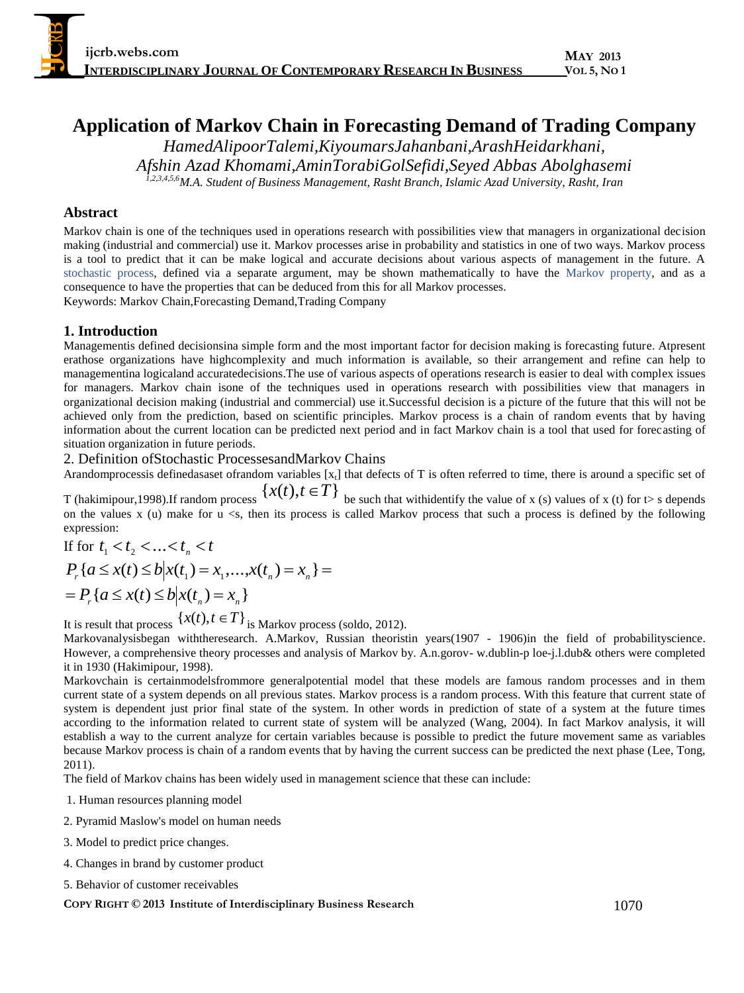# **Application of Markov Chain in Forecasting Demand of Trading Company**

*HamedAlipoorTalemi,KiyoumarsJahanbani,ArashHeidarkhani, Afshin Azad Khomami,AminTorabiGolSefidi,Seyed Abbas Abolghasemi 1,2,3,4,5,6M.A. Student of Business Management, Rasht Branch, Islamic Azad University, Rasht, Iran*

# **Abstract**

Markov chain is one of the techniques used in operations research with possibilities view that managers in organizational decision making (industrial and commercial) use it. Markov processes arise in probability and statistics in one of two ways. Markov process is a tool to predict that it can be make logical and accurate decisions about various aspects of management in the future. A [stochastic process,](http://en.wikipedia.org/wiki/Stochastic_process) defined via a separate argument, may be shown mathematically to have the [Markov property,](http://en.wikipedia.org/wiki/Markov_property) and as a consequence to have the properties that can be deduced from this for all Markov processes. Keywords: Markov Chain,Forecasting Demand,Trading Company

# **1. Introduction**

Managementis defined decisionsina simple form and the most important factor for decision making is forecasting future. Atpresent erathose organizations have highcomplexity and much information is available, so their arrangement and refine can help to managementina logicaland accuratedecisions.The use of various aspects of operations research is easier to deal with complex issues for managers. Markov chain isone of the techniques used in operations research with possibilities view that managers in organizational decision making (industrial and commercial) use it.Successful decision is a picture of the future that this will not be achieved only from the prediction, based on scientific principles. Markov process is a chain of random events that by having information about the current location can be predicted next period and in fact Markov chain is a tool that used for forecasting of situation organization in future periods.

2. Definition ofStochastic ProcessesandMarkov Chains

Arandomprocessis definedasaset ofrandom variables  $[x_t]$  that defects of T is often referred to time, there is around a specific set of T (hakimipour,1998).If random process  $\{x(t), t \in T\}$  be such that withidentify the value of x (s) values of x (t) for t> s depends

on the values x (u) make for  $u \leq s$ , then its process is called Markov process that such a process is defined by the following expression:

If for  $t_1 < t_2 < ... < t_n < t$  $P_r$  { $a \le x(t) \le b \Big| x(t_1) = x_1,...,x(t_n) = x_n$ } =  $= P_r \{ a \le x(t) \le b | x(t_n) = x_n \}$ 

It is result that process  $\{x(t), t \in T\}$  is Markov process (soldo, 2012).

Markovanalysisbegan withtheresearch. A.Markov, Russian theoristin years(1907 - 1906)in the field of probabilityscience. However, a comprehensive theory processes and analysis of Markov by. A.n.gorov- w.dublin-p loe-j.l.dub& others were completed it in 1930 (Hakimipour, 1998).

Markovchain is certainmodelsfrommore generalpotential model that these models are famous random processes and in them current state of a system depends on all previous states. Markov process is a random process. With this feature that current state of system is dependent just prior final state of the system. In other words in prediction of state of a system at the future times according to the information related to current state of system will be analyzed (Wang, 2004). In fact Markov analysis, it will establish a way to the current analyze for certain variables because is possible to predict the future movement same as variables because Markov process is chain of a random events that by having the current success can be predicted the next phase (Lee, Tong, 2011).

The field of Markov chains has been widely used in management science that these can include:

1. Human resources planning model

- 2. Pyramid Maslow's model on human needs
- 3. Model to predict price changes.
- 4. Changes in brand by customer product
- 5. Behavior of customer receivables

#### **COPY RIGHT © 2013 Institute of Interdisciplinary Business Research** 1070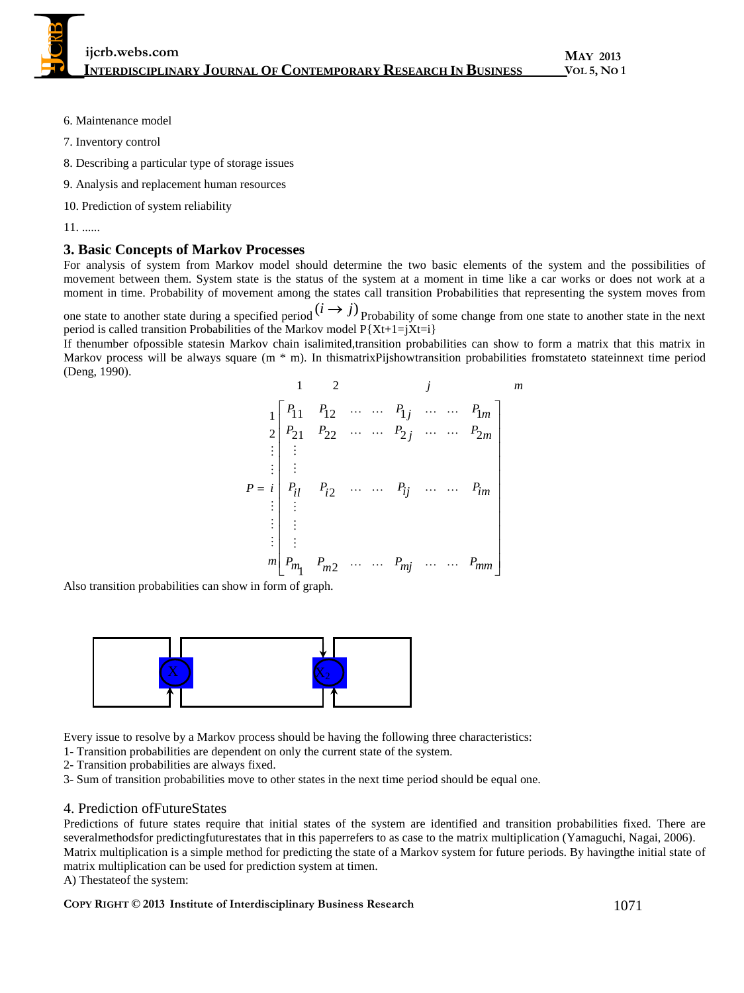**ijcrb.webs.com INTERDISCIPLINARY JOURNAL OF CONTEMPORARY RESEARCH IN BUSINESS**

**MAY 2013 VOL 5, NO 1**

- 6. Maintenance model
- 7. Inventory control
- 8. Describing a particular type of storage issues
- 9. Analysis and replacement human resources
- 10. Prediction of system reliability
- 11. ......

#### **3. Basic Concepts of Markov Processes**

For analysis of system from Markov model should determine the two basic elements of the system and the possibilities of movement between them. System state is the status of the system at a moment in time like a car works or does not work at a moment in time. Probability of movement among the states call transition Probabilities that representing the system moves from

one state to another state during a specified period  $(i \rightarrow j)$  Probability of some change from one state to another state in the next period is called transition Probabilities of the Markov model  $P{Xt+1=iXt=i}$ 

If thenumber ofpossible statesin Markov chain isalimited,transition probabilities can show to form a matrix that this matrix in Markov process will be always square (m \* m). In thismatrixPijshowtransition probabilities fromstateto stateinnext time period (Deng, 1990).

$$
\begin{bmatrix}\n1 & 2 & j & m \\
1 & P_{11} & P_{12} & \cdots & P_{1j} & \cdots & P_{1m} \\
2 & P_{21} & P_{22} & \cdots & P_{2j} & \cdots & P_{2m} \\
\vdots & \vdots & & & & \\
P = i & P_{il} & P_{i2} & \cdots & P_{ij} & \cdots & P_{im} \\
\vdots & \vdots & & & & \\
P = \begin{bmatrix}\n\vdots & \vdots & \vdots & \vdots \\
P_{im} & P_{m2} & \cdots & P_{mj} & \cdots & P_{mm}\n\end{bmatrix}
$$

Also transition probabilities can show in form of graph.



Every issue to resolve by a Markov process should be having the following three characteristics:

1- Transition probabilities are dependent on only the current state of the system.

- 2- Transition probabilities are always fixed.
- 3- Sum of transition probabilities move to other states in the next time period should be equal one.

#### 4. Prediction ofFutureStates

Predictions of future states require that initial states of the system are identified and transition probabilities fixed. There are severalmethodsfor predictingfuturestates that in this paperrefers to as case to the matrix multiplication (Yamaguchi, Nagai, 2006). Matrix multiplication is a simple method for predicting the state of a Markov system for future periods. By havingthe initial state of matrix multiplication can be used for prediction system at timen. A) Thestateof the system:

**COPY RIGHT © 2013 Institute of Interdisciplinary Business Research** 1071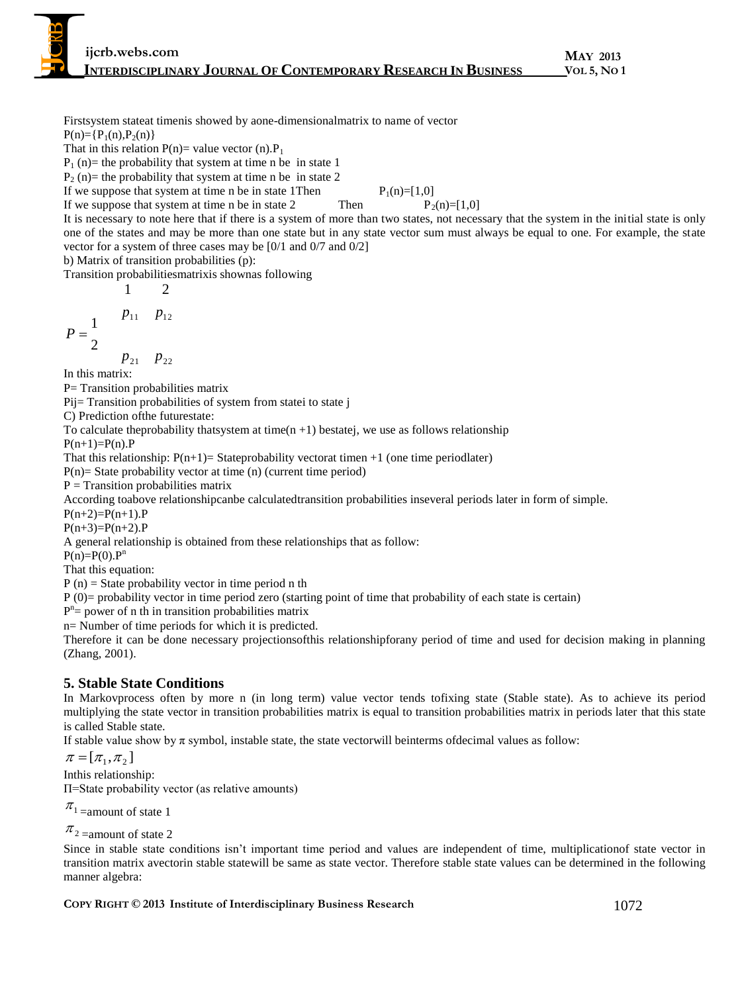Firstsystem stateat timenis showed by aone-dimensionalmatrix to name of vector

 $P(n)=\{P_1(n),P_2(n)\}\$ 

That in this relation  $P(n)$  value vector (n). $P_1$ 

 $P_1$  (n)= the probability that system at time n be in state 1

 $P_2$  (n) = the probability that system at time n be in state 2

If we suppose that system at time n be in state 1Then  $P_1(n)=[1,0]$ <br>If we suppose that system at time n be in state 2 Then  $P_2$ If we suppose that system at time n be in state 2 Then  $P_2(n)=[1,0]$ 

It is necessary to note here that if there is a system of more than two states, not necessary that the system in the initial state is only one of the states and may be more than one state but in any state vector sum must always be equal to one. For example, the state vector for a system of three cases may be [0/1 and 0/7 and 0/2]

b) Matrix of transition probabilities (p):

 $\mathcal{D}_{1}$ 

Transition probabilitiesmatrixis shownas following

$$
\begin{array}{cc}\n1 & 2 \\
p_{11} & p_{12}\n\end{array}
$$

2 1 *P*

$$
p_{21} \quad p_{22}
$$

In this matrix:

P= Transition probabilities matrix

Pij= Transition probabilities of system from state i to state j

C) Prediction ofthe futurestate:

To calculate theprobability that system at time( $n + 1$ ) bestatej, we use as follows relationship

 $P(n+1)=P(n).P$ 

That this relationship:  $P(n+1)$ = Stateprobability vectorat timen +1 (one time periodlater)

 $P(n)$ = State probability vector at time (n) (current time period)

 $P =$ Transition probabilities matrix

According toabove relationshipcanbe calculatedtransition probabilities inseveral periods later in form of simple.

 $P(n+2)=P(n+1).P$ 

 $P(n+3)=P(n+2).P$ 

A general relationship is obtained from these relationships that as follow:

 $P(n)=P(0).P^n$ 

That this equation:

 $P(n)$  = State probability vector in time period n th

 $P(0)$ = probability vector in time period zero (starting point of time that probability of each state is certain)

 $P^{n}$  = power of n th in transition probabilities matrix

n= Number of time periods for which it is predicted.

Therefore it can be done necessary projectionsofthis relationshipforany period of time and used for decision making in planning (Zhang, 2001).

# **5. Stable State Conditions**

In Markovprocess often by more n (in long term) value vector tends tofixing state (Stable state). As to achieve its period multiplying the state vector in transition probabilities matrix is equal to transition probabilities matrix in periods later that this state is called Stable state.

If stable value show by  $\pi$  symbol, instable state, the state vectorwill beinterms of decimal values as follow:

 $\pi = [\pi_1, \pi_2]$ 

Inthis relationship:

Π=State probability vector (as relative amounts)

 $\pi$ <sup>1</sup> = amount of state 1

```
\pi<sub>2</sub> = amount of state 2
```
Since in stable state conditions isn't important time period and values are independent of time, multiplicationof state vector in transition matrix avectorin stable statewill be same as state vector. Therefore stable state values can be determined in the following manner algebra: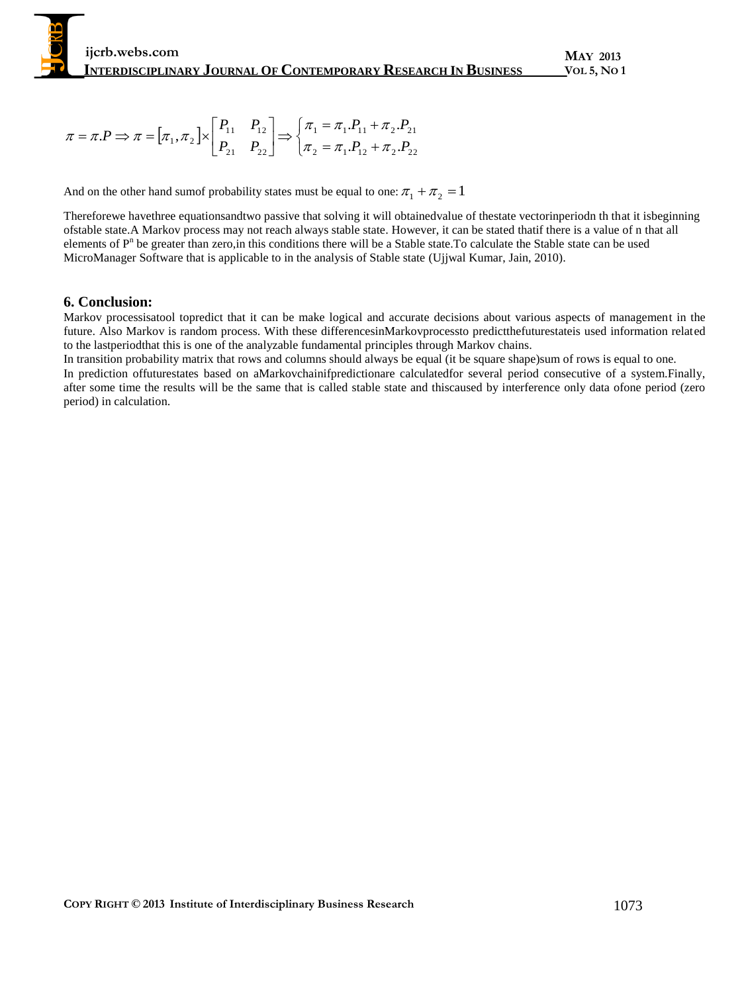$$
\pi = \pi.P \Longrightarrow \pi = [\pi_1, \pi_2] \times \begin{bmatrix} P_{11} & P_{12} \\ P_{21} & P_{22} \end{bmatrix} \Longrightarrow \begin{cases} \pi_1 = \pi_1.P_{11} + \pi_2.P_{21} \\ \pi_2 = \pi_1.P_{12} + \pi_2.P_{22} \end{cases}
$$

And on the other hand sumof probability states must be equal to one:  $\pi_1 + \pi_2 = 1$ 

Thereforewe havethree equationsandtwo passive that solving it will obtainedvalue of thestate vectorinperiodn th that it isbeginning ofstable state.A Markov process may not reach always stable state. However, it can be stated thatif there is a value of n that all elements of P<sup>n</sup> be greater than zero, in this conditions there will be a Stable state. To calculate the Stable state can be used MicroManager Software that is applicable to in the analysis of Stable state (Ujjwal Kumar, Jain, 2010).

# **6. Conclusion:**

Markov processisatool topredict that it can be make logical and accurate decisions about various aspects of management in the future. Also Markov is random process. With these differencesinMarkovprocessto predictthefuturestateis used information related to the lastperiodthat this is one of the analyzable fundamental principles through Markov chains.

In transition probability matrix that rows and columns should always be equal (it be square shape)sum of rows is equal to one. In prediction offuturestates based on aMarkovchainifpredictionare calculatedfor several period consecutive of a system.Finally, after some time the results will be the same that is called stable state and thiscaused by interference only data ofone period (zero period) in calculation.